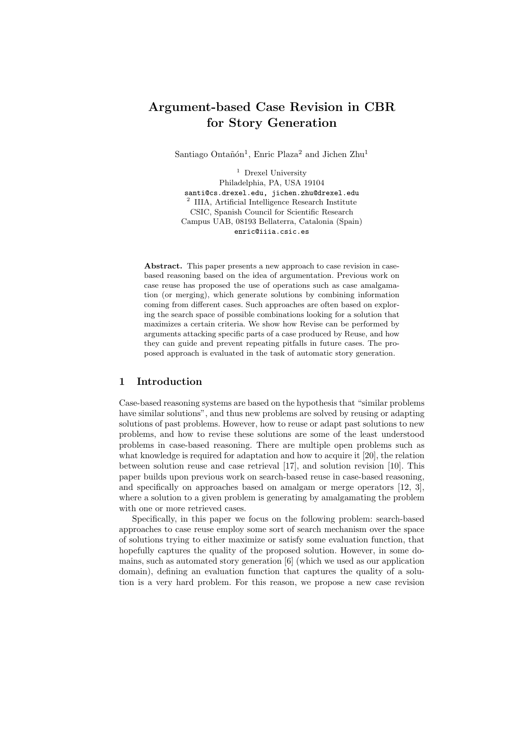# **Argument-based Case Revision in CBR for Story Generation**

Santiago Ontañón<sup>1</sup>, Enric Plaza<sup>2</sup> and Jichen  $\text{Zhu}^1$ 

<sup>1</sup> Drexel University Philadelphia, PA, USA 19104 santi@cs.drexel.edu, jichen.zhu@drexel.edu <sup>2</sup> IIIA, Artificial Intelligence Research Institute CSIC, Spanish Council for Scientific Research Campus UAB, 08193 Bellaterra, Catalonia (Spain) enric@iiia.csic.es

**Abstract.** This paper presents a new approach to case revision in casebased reasoning based on the idea of argumentation. Previous work on case reuse has proposed the use of operations such as case amalgamation (or merging), which generate solutions by combining information coming from different cases. Such approaches are often based on exploring the search space of possible combinations looking for a solution that maximizes a certain criteria. We show how Revise can be performed by arguments attacking specific parts of a case produced by Reuse, and how they can guide and prevent repeating pitfalls in future cases. The proposed approach is evaluated in the task of automatic story generation.

# **1 Introduction**

Case-based reasoning systems are based on the hypothesis that "similar problems have similar solutions", and thus new problems are solved by reusing or adapting solutions of past problems. However, how to reuse or adapt past solutions to new problems, and how to revise these solutions are some of the least understood problems in case-based reasoning. There are multiple open problems such as what knowledge is required for adaptation and how to acquire it [20], the relation between solution reuse and case retrieval [17], and solution revision [10]. This paper builds upon previous work on search-based reuse in case-based reasoning, and specifically on approaches based on amalgam or merge operators [12, 3], where a solution to a given problem is generating by amalgamating the problem with one or more retrieved cases.

Specifically, in this paper we focus on the following problem: search-based approaches to case reuse employ some sort of search mechanism over the space of solutions trying to either maximize or satisfy some evaluation function, that hopefully captures the quality of the proposed solution. However, in some domains, such as automated story generation [6] (which we used as our application domain), defining an evaluation function that captures the quality of a solution is a very hard problem. For this reason, we propose a new case revision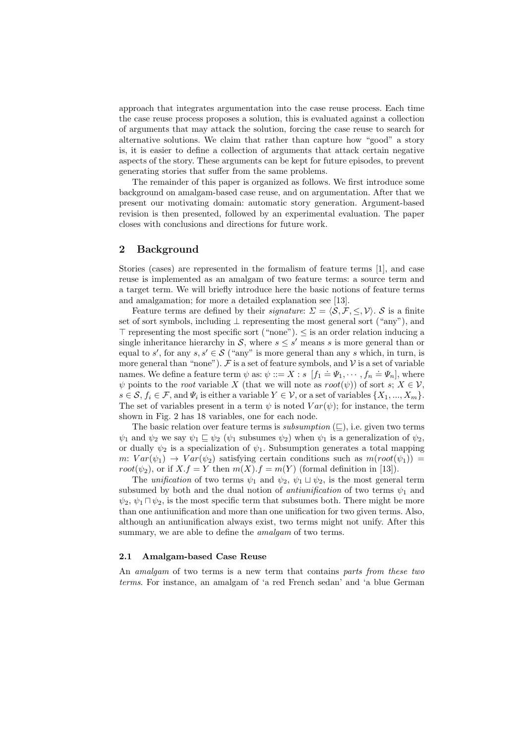approach that integrates argumentation into the case reuse process. Each time the case reuse process proposes a solution, this is evaluated against a collection of arguments that may attack the solution, forcing the case reuse to search for alternative solutions. We claim that rather than capture how "good" a story is, it is easier to define a collection of arguments that attack certain negative aspects of the story. These arguments can be kept for future episodes, to prevent generating stories that suffer from the same problems.

The remainder of this paper is organized as follows. We first introduce some background on amalgam-based case reuse, and on argumentation. After that we present our motivating domain: automatic story generation. Argument-based revision is then presented, followed by an experimental evaluation. The paper closes with conclusions and directions for future work.

### **2 Background**

Stories (cases) are represented in the formalism of feature terms [1], and case reuse is implemented as an amalgam of two feature terms: a source term and a target term. We will briefly introduce here the basic notions of feature terms and amalgamation; for more a detailed explanation see [13].

Feature terms are defined by their *signature*:  $\Sigma = \langle S, \mathcal{F}, \leq, \mathcal{V} \rangle$ . *S* is a finite set of sort symbols, including *⊥* representing the most general sort ("any"), and *⊤* representing the most specific sort ("none"). *≤* is an order relation inducing a single inheritance hierarchy in *S*, where  $s \leq s'$  means *s* is more general than or equal to *s'*, for any  $s, s' \in S$  ("any" is more general than any *s* which, in turn, is more general than "none").  $\mathcal F$  is a set of feature symbols, and  $\mathcal V$  is a set of variable names. We define a feature term  $\psi$  as:  $\psi ::= X : s$  [ $f_1 \doteq \Psi_1, \dots, f_n \doteq \Psi_n$ ], where  $\psi$  points to the *root* variable *X* (that we will note as  $root(\psi)$ ) of sort *s*;  $X \in V$ ,  $s \in \mathcal{S}, f_i \in \mathcal{F}$ , and  $\Psi_i$  is either a variable  $Y \in \mathcal{V}$ , or a set of variables  $\{X_1, ..., X_m\}$ . The set of variables present in a term  $\psi$  is noted  $Var(\psi)$ ; for instance, the term shown in Fig. 2 has 18 variables, one for each node.

The basic relation over feature terms is *subsumption*  $(\subseteq)$ , i.e. given two terms  $\psi_1$  and  $\psi_2$  we say  $\psi_1 \subseteq \psi_2$  ( $\psi_1$  subsumes  $\psi_2$ ) when  $\psi_1$  is a generalization of  $\psi_2$ , or dually  $\psi_2$  is a specialization of  $\psi_1$ . Subsumption generates a total mapping *m*:  $Var(\psi_1) \rightarrow Var(\psi_2)$  satisfying certain conditions such as  $m(root(\psi_1))$  = *root*( $\psi_2$ ), or if *X*.  $f = Y$  then  $m(X)$ .  $f = m(Y)$  (formal definition in [13]).

The *unification* of two terms  $\psi_1$  and  $\psi_2$ ,  $\psi_1 \sqcup \psi_2$ , is the most general term subsumed by both and the dual notion of *antiunification* of two terms  $\psi_1$  and  $\psi_2$ ,  $\psi_1 \sqcap \psi_2$ , is the most specific term that subsumes both. There might be more than one antiunification and more than one unification for two given terms. Also, although an antiunification always exist, two terms might not unify. After this summary, we are able to define the *amalgam* of two terms.

#### **2.1 Amalgam-based Case Reuse**

An *amalgam* of two terms is a new term that contains *parts from these two terms*. For instance, an amalgam of 'a red French sedan' and 'a blue German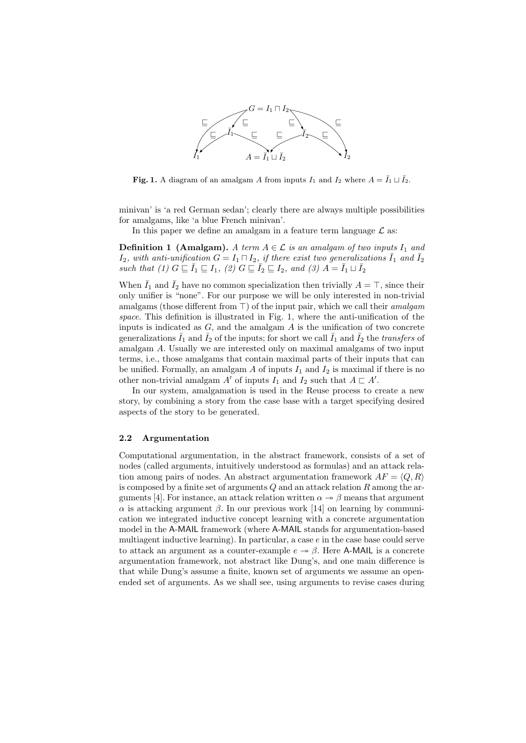

**Fig. 1.** A diagram of an amalgam *A* from inputs  $I_1$  and  $I_2$  where  $A = \overline{I}_1 \sqcup \overline{I}_2$ .

minivan' is 'a red German sedan'; clearly there are always multiple possibilities for amalgams, like 'a blue French minivan'.

In this paper we define an amalgam in a feature term language  $\mathcal L$  as:

**Definition 1 (Amalgam).** *A term*  $A \in \mathcal{L}$  *is an amalgam of two inputs*  $I_1$  *and*  $I_2$ *, with anti-unification*  $G = I_1 \sqcap I_2$ *, if there exist two generalizations*  $\overline{I}_1$  *and*  $\overline{I}_2$ *such that (1)*  $G ⊆ \overline{I}_1 ⊆ I_1$ , (2)  $G ⊆ \overline{I}_2 ⊆ I_2$ , and (3)  $A = \overline{I}_1 ⊔ \overline{I}_2$ 

When  $\bar{I}_1$  and  $\bar{I}_2$  have no common specialization then trivially  $A = \top$ , since their only unifier is "none". For our purpose we will be only interested in non-trivial amalgams (those different from *⊤*) of the input pair, which we call their *amalgam space*. This definition is illustrated in Fig. 1, where the anti-unification of the inputs is indicated as  $G$ , and the amalgam  $A$  is the unification of two concrete generalizations  $\bar{I}_1$  and  $\bar{I}_2$  of the inputs; for short we call  $\bar{I}_1$  and  $\bar{I}_2$  the *transfers* of amalgam *A*. Usually we are interested only on maximal amalgams of two input terms, i.e., those amalgams that contain maximal parts of their inputs that can be unified. Formally, an amalgam  $A$  of inputs  $I_1$  and  $I_2$  is maximal if there is no other non-trivial amalgam  $A'$  of inputs  $I_1$  and  $I_2$  such that  $A \subset A'$ .

In our system, amalgamation is used in the Reuse process to create a new story, by combining a story from the case base with a target specifying desired aspects of the story to be generated.

#### **2.2 Argumentation**

Computational argumentation, in the abstract framework, consists of a set of nodes (called arguments, intuitively understood as formulas) and an attack relation among pairs of nodes. An abstract argumentation framework  $AF = \langle Q, R \rangle$ is composed by a finite set of arguments *Q* and an attack relation *R* among the arguments [4]. For instance, an attack relation written  $\alpha \rightarrow \beta$  means that argument  $\alpha$  is attacking argument *β*. In our previous work [14] on learning by communication we integrated inductive concept learning with a concrete argumentation model in the A-MAIL framework (where A-MAIL stands for argumentation-based multiagent inductive learning). In particular, a case *e* in the case base could serve to attack an argument as a counter-example  $e \rightarrow \beta$ . Here A-MAIL is a concrete argumentation framework, not abstract like Dung's, and one main difference is that while Dung's assume a finite, known set of arguments we assume an openended set of arguments. As we shall see, using arguments to revise cases during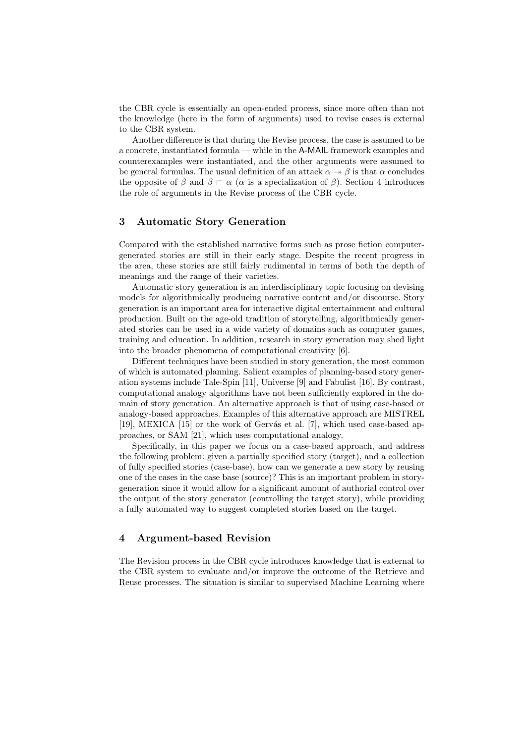the CBR cycle is essentially an open-ended process, since more often than not the knowledge (here in the form of arguments) used to revise cases is external to the CBR system.

Another difference is that during the Revise process, the case is assumed to be a concrete, instantiated formula — while in the A-MAIL framework examples and counterexamples were instantiated, and the other arguments were assumed to be general formulas. The usual definition of an attack  $\alpha \rightarrow \beta$  is that  $\alpha$  concludes the opposite of  $\beta$  and  $\beta \sqsubset \alpha$  ( $\alpha$  is a specialization of  $\beta$ ). Section 4 introduces the role of arguments in the Revise process of the CBR cycle.

### **3 Automatic Story Generation**

Compared with the established narrative forms such as prose fiction computergenerated stories are still in their early stage. Despite the recent progress in the area, these stories are still fairly rudimental in terms of both the depth of meanings and the range of their varieties.

Automatic story generation is an interdisciplinary topic focusing on devising models for algorithmically producing narrative content and/or discourse. Story generation is an important area for interactive digital entertainment and cultural production. Built on the age-old tradition of storytelling, algorithmically generated stories can be used in a wide variety of domains such as computer games, training and education. In addition, research in story generation may shed light into the broader phenomena of computational creativity [6].

Different techniques have been studied in story generation, the most common of which is automated planning. Salient examples of planning-based story generation systems include Tale-Spin [11], Universe [9] and Fabulist [16]. By contrast, computational analogy algorithms have not been sufficiently explored in the domain of story generation. An alternative approach is that of using case-based or analogy-based approaches. Examples of this alternative approach are MISTREL [19], MEXICA  $[15]$  or the work of Gervás et al. [7], which used case-based approaches, or SAM [21], which uses computational analogy.

Specifically, in this paper we focus on a case-based approach, and address the following problem: given a partially specified story (target), and a collection of fully specified stories (case-base), how can we generate a new story by reusing one of the cases in the case base (source)? This is an important problem in storygeneration since it would allow for a significant amount of authorial control over the output of the story generator (controlling the target story), while providing a fully automated way to suggest completed stories based on the target.

### **4 Argument-based Revision**

The Revision process in the CBR cycle introduces knowledge that is external to the CBR system to evaluate and/or improve the outcome of the Retrieve and Reuse processes. The situation is similar to supervised Machine Learning where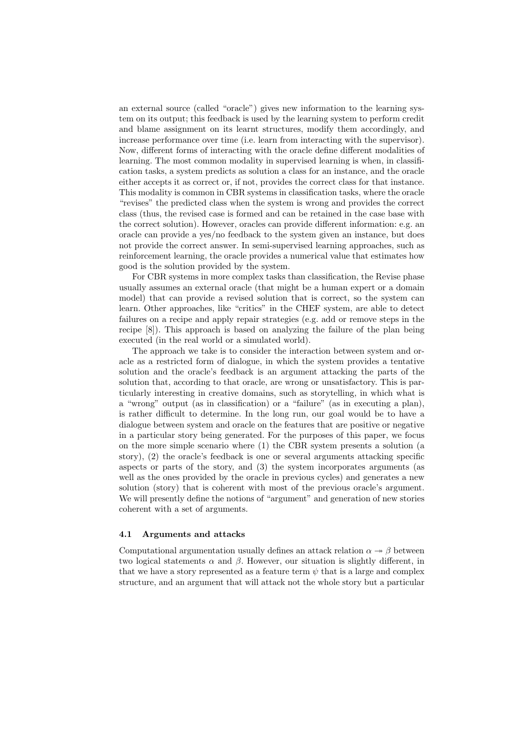an external source (called "oracle") gives new information to the learning system on its output; this feedback is used by the learning system to perform credit and blame assignment on its learnt structures, modify them accordingly, and increase performance over time (i.e. learn from interacting with the supervisor). Now, different forms of interacting with the oracle define different modalities of learning. The most common modality in supervised learning is when, in classification tasks, a system predicts as solution a class for an instance, and the oracle either accepts it as correct or, if not, provides the correct class for that instance. This modality is common in CBR systems in classification tasks, where the oracle "revises" the predicted class when the system is wrong and provides the correct class (thus, the revised case is formed and can be retained in the case base with the correct solution). However, oracles can provide different information: e.g. an oracle can provide a yes/no feedback to the system given an instance, but does not provide the correct answer. In semi-supervised learning approaches, such as reinforcement learning, the oracle provides a numerical value that estimates how good is the solution provided by the system.

For CBR systems in more complex tasks than classification, the Revise phase usually assumes an external oracle (that might be a human expert or a domain model) that can provide a revised solution that is correct, so the system can learn. Other approaches, like "critics" in the CHEF system, are able to detect failures on a recipe and apply repair strategies (e.g. add or remove steps in the recipe [8]). This approach is based on analyzing the failure of the plan being executed (in the real world or a simulated world).

The approach we take is to consider the interaction between system and oracle as a restricted form of dialogue, in which the system provides a tentative solution and the oracle's feedback is an argument attacking the parts of the solution that, according to that oracle, are wrong or unsatisfactory. This is particularly interesting in creative domains, such as storytelling, in which what is a "wrong" output (as in classification) or a "failure" (as in executing a plan), is rather difficult to determine. In the long run, our goal would be to have a dialogue between system and oracle on the features that are positive or negative in a particular story being generated. For the purposes of this paper, we focus on the more simple scenario where (1) the CBR system presents a solution (a story), (2) the oracle's feedback is one or several arguments attacking specific aspects or parts of the story, and (3) the system incorporates arguments (as well as the ones provided by the oracle in previous cycles) and generates a new solution (story) that is coherent with most of the previous oracle's argument. We will presently define the notions of "argument" and generation of new stories coherent with a set of arguments.

#### **4.1 Arguments and attacks**

Computational argumentation usually defines an attack relation  $\alpha \rightarrow \beta$  between two logical statements  $\alpha$  and  $\beta$ . However, our situation is slightly different, in that we have a story represented as a feature term  $\psi$  that is a large and complex structure, and an argument that will attack not the whole story but a particular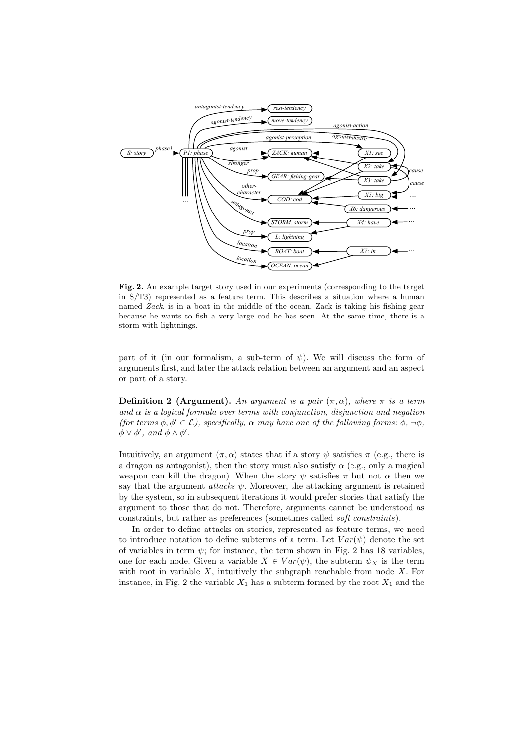

**Fig. 2.** An example target story used in our experiments (corresponding to the target in S/T3) represented as a feature term. This describes a situation where a human named *Zack*, is in a boat in the middle of the ocean. Zack is taking his fishing gear because he wants to fish a very large cod he has seen. At the same time, there is a storm with lightnings.

part of it (in our formalism, a sub-term of  $\psi$ ). We will discuss the form of arguments first, and later the attack relation between an argument and an aspect or part of a story.

**Definition 2 (Argument).** *An argument is a pair*  $(\pi, \alpha)$ *, where*  $\pi$  *is a term and*  $\alpha$  *is a logical formula over terms with conjunction, disjunction and negation (for terms*  $\phi, \phi' \in \mathcal{L}$ *), specifically,*  $\alpha$  *may have one of the following forms:*  $\phi$ *,*  $\neg \phi$ *,*  $\phi \vee \phi'$ , and  $\phi \wedge \phi'$ .

Intuitively, an argument  $(\pi, \alpha)$  states that if a story  $\psi$  satisfies  $\pi$  (e.g., there is a dragon as antagonist), then the story must also satisfy  $\alpha$  (e.g., only a magical weapon can kill the dragon). When the story  $\psi$  satisfies  $\pi$  but not  $\alpha$  then we say that the argument  $attacks$   $\psi$ . Moreover, the attacking argument is retained by the system, so in subsequent iterations it would prefer stories that satisfy the argument to those that do not. Therefore, arguments cannot be understood as constraints, but rather as preferences (sometimes called *soft constraints*).

In order to define attacks on stories, represented as feature terms, we need to introduce notation to define subterms of a term. Let  $Var(\psi)$  denote the set of variables in term  $\psi$ ; for instance, the term shown in Fig. 2 has 18 variables, one for each node. Given a variable  $X \in Var(\psi)$ , the subterm  $\psi_X$  is the term with root in variable *X*, intuitively the subgraph reachable from node *X*. For instance, in Fig. 2 the variable  $X_1$  has a subterm formed by the root  $X_1$  and the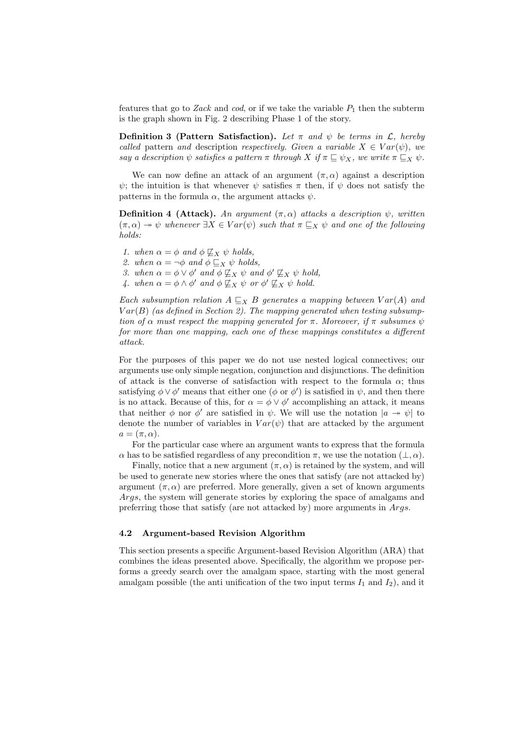features that go to Zack and cod, or if we take the variable  $P_1$  then the subterm is the graph shown in Fig. 2 describing Phase 1 of the story.

**Definition 3 (Pattern Satisfaction).** Let  $\pi$  and  $\psi$  be terms in  $\mathcal{L}$ , hereby *called* pattern *and* description *respectively. Given a variable*  $X \in Var(\psi)$ , we *say a description*  $\psi$  *satisfies a pattern*  $\pi$  *through*  $X$  *if*  $\pi \subseteq \psi_X$ *, we write*  $\pi \subseteq_X \psi$ *.* 

We can now define an attack of an argument  $(\pi, \alpha)$  against a description *ψ*; the intuition is that whenever *ψ* satisfies *π* then, if *ψ* does not satisfy the patterns in the formula  $\alpha$ , the argument attacks  $\psi$ .

**Definition 4 (Attack).** An argument  $(\pi, \alpha)$  attacks a description  $\psi$ , written  $(\pi, \alpha) \rightarrow \psi$  whenever  $\exists X \in Var(\psi)$  such that  $\pi \subseteq_X \psi$  and one of the following *holds:*

- *1. when*  $\alpha = \phi$  *and*  $\phi \not\sqsubseteq_X \psi$  *holds,*
- *2. when*  $α = ¬φ$  *and*  $φ ⊆<sub>X</sub>$  *ψ holds,*
- *3. when*  $\alpha = \phi \lor \phi'$  *and*  $\phi \not\subseteq_X \psi$  *and*  $\phi' \not\subseteq_X \psi$  *hold,*
- *4. when*  $\alpha = \phi \land \phi'$  *and*  $\phi \not\sqsubseteq_X \psi$  *or*  $\phi' \not\sqsubseteq_X \psi$  *hold.*

*Each subsumption relation*  $A \subseteq X$  *B* generates a mapping between  $Var(A)$  and *V ar*(*B*) *(as defined in Section 2). The mapping generated when testing subsumption of*  $\alpha$  *must respect the mapping generated for*  $\pi$ *. Moreover, if*  $\pi$  *subsumes*  $\psi$ *for more than one mapping, each one of these mappings constitutes a different attack.*

For the purposes of this paper we do not use nested logical connectives; our arguments use only simple negation, conjunction and disjunctions. The definition of attack is the converse of satisfaction with respect to the formula  $\alpha$ ; thus satisfying  $\phi \vee \phi'$  means that either one  $(\phi \text{ or } \phi')$  is satisfied in  $\psi$ , and then there is no attack. Because of this, for  $\alpha = \phi \vee \phi'$  accomplishing an attack, it means that neither  $\phi$  nor  $\phi'$  are satisfied in  $\psi$ . We will use the notation  $|a \rightarrow \psi|$  to denote the number of variables in  $Var(\psi)$  that are attacked by the argument  $a = (\pi, \alpha).$ 

For the particular case where an argument wants to express that the formula *α* has to be satisfied regardless of any precondition  $π$ , we use the notation  $(⊥, α)$ .

Finally, notice that a new argument  $(\pi, \alpha)$  is retained by the system, and will be used to generate new stories where the ones that satisfy (are not attacked by) argument  $(\pi, \alpha)$  are preferred. More generally, given a set of known arguments *Args*, the system will generate stories by exploring the space of amalgams and preferring those that satisfy (are not attacked by) more arguments in *Args*.

#### **4.2 Argument-based Revision Algorithm**

This section presents a specific Argument-based Revision Algorithm (ARA) that combines the ideas presented above. Specifically, the algorithm we propose performs a greedy search over the amalgam space, starting with the most general amalgam possible (the anti unification of the two input terms  $I_1$  and  $I_2$ ), and it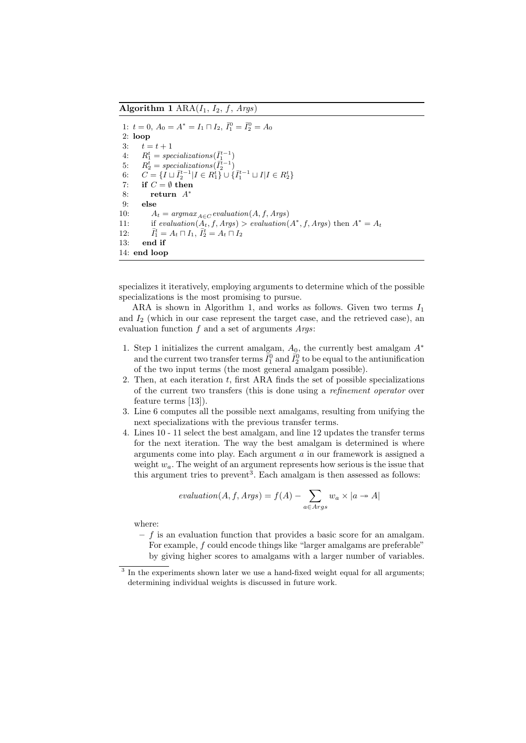Algorithm 1  $ARA(I_1, I_2, f, Args)$ 

1:  $t = 0$ ,  $A_0 = A^* = I_1 \sqcap I_2$ ,  $\bar{I}_1^0 = \bar{I}_2^0 = A_0$ 2: **loop** 3:  $t = t + 1$ 4:  $R_1^t = specializations(\bar{I}_1^{t-1})$  $R_1^t = \text{specializations}(\overline{I}_1^{t-1})$ <br>
5:  $R_2^t = \text{specializations}(\overline{I}_2^{t-1})$ 6:  $C = \{ I \sqcup \overline{I}_2^{t-1} | I \in R_1^{\overline{t}} \} \cup \{ \overline{I}_1^{t-1} \sqcup I | I \in R_2^{\overline{t}} \}$ 7: **if**  $C = \emptyset$  **then** 8: **return** *A ∗* 9: **else** 10:  $A_t = \text{argmax}_{A \in C} \text{evaluation}(A, f, \text{A} \text{ is real})$ <br>11: if evaluation( $A_t$ , *f*, *Args*) > evaluation( 11: if  $evaluation(A_t, f, Args) > evaluation(A^*, f, Args)$  then  $A^* = A_t$ 12:  $I_1^t = A_t \sqcap I_1, \ \bar{I}_2^t = A_t \sqcap I_2$ 13: **end if** 14: **end loop**

specializes it iteratively, employing arguments to determine which of the possible specializations is the most promising to pursue.

ARA is shown in Algorithm 1, and works as follows. Given two terms  $I_1$ and  $I_2$  (which in our case represent the target case, and the retrieved case), an evaluation function *f* and a set of arguments *Args*:

- 1. Step 1 initializes the current amalgam,  $A_0$ , the currently best amalgam  $A^*$ and the current two transfer terms  $\bar{I}_1^0$  and  $\bar{I}_2^0$  to be equal to the antiunification of the two input terms (the most general amalgam possible).
- 2. Then, at each iteration *t*, first ARA finds the set of possible specializations of the current two transfers (this is done using a *refinement operator* over feature terms [13]).
- 3. Line 6 computes all the possible next amalgams, resulting from unifying the next specializations with the previous transfer terms.
- 4. Lines 10 11 select the best amalgam, and line 12 updates the transfer terms for the next iteration. The way the best amalgam is determined is where arguments come into play. Each argument *a* in our framework is assigned a weight  $w_a$ . The weight of an argument represents how serious is the issue that this argument tries to prevent<sup>3</sup>. Each amalgam is then assessed as follows:

$$
evaluation(A, f, Args) = f(A) - \sum_{a \in Args} w_a \times |a \rightarrow A|
$$

where:

**–** *f* is an evaluation function that provides a basic score for an amalgam. For example, *f* could encode things like "larger amalgams are preferable" by giving higher scores to amalgams with a larger number of variables.

<sup>&</sup>lt;sup>3</sup> In the experiments shown later we use a hand-fixed weight equal for all arguments; determining individual weights is discussed in future work.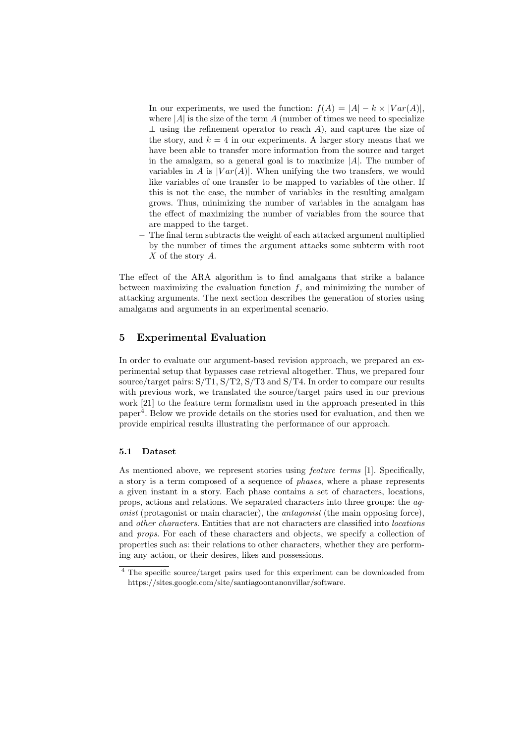In our experiments, we used the function:  $f(A) = |A| - k \times |Var(A)|$ , where  $|A|$  is the size of the term  $A$  (number of times we need to specialize *⊥* using the refinement operator to reach *A*), and captures the size of the story, and  $k = 4$  in our experiments. A larger story means that we have been able to transfer more information from the source and target in the amalgam, so a general goal is to maximize *|A|*. The number of variables in *A* is  $|Var(A)|$ . When unifying the two transfers, we would like variables of one transfer to be mapped to variables of the other. If this is not the case, the number of variables in the resulting amalgam grows. Thus, minimizing the number of variables in the amalgam has the effect of maximizing the number of variables from the source that are mapped to the target.

**–** The final term subtracts the weight of each attacked argument multiplied by the number of times the argument attacks some subterm with root *X* of the story *A*.

The effect of the ARA algorithm is to find amalgams that strike a balance between maximizing the evaluation function  $f$ , and minimizing the number of attacking arguments. The next section describes the generation of stories using amalgams and arguments in an experimental scenario.

# **5 Experimental Evaluation**

In order to evaluate our argument-based revision approach, we prepared an experimental setup that bypasses case retrieval altogether. Thus, we prepared four source/target pairs: S/T1, S/T2, S/T3 and S/T4. In order to compare our results with previous work, we translated the source/target pairs used in our previous work [21] to the feature term formalism used in the approach presented in this paper<sup>4</sup> . Below we provide details on the stories used for evaluation, and then we provide empirical results illustrating the performance of our approach.

#### **5.1 Dataset**

As mentioned above, we represent stories using *feature terms* [1]. Specifically, a story is a term composed of a sequence of *phases*, where a phase represents a given instant in a story. Each phase contains a set of characters, locations, props, actions and relations. We separated characters into three groups: the *agonist* (protagonist or main character), the *antagonist* (the main opposing force), and *other characters*. Entities that are not characters are classified into *locations* and *props*. For each of these characters and objects, we specify a collection of properties such as: their relations to other characters, whether they are performing any action, or their desires, likes and possessions.

<sup>4</sup> The specific source/target pairs used for this experiment can be downloaded from https://sites.google.com/site/santiagoontanonvillar/software.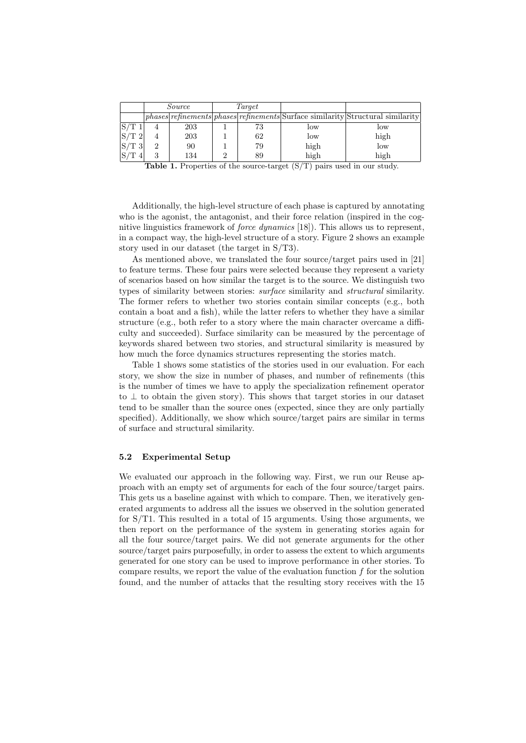|          | Source | $\emph{Target}$ |    |      |                                                                                       |
|----------|--------|-----------------|----|------|---------------------------------------------------------------------------------------|
|          |        |                 |    |      | <i>phases refinements phases refinements</i> Surface similarity Structural similarity |
| C/T      | 203    |                 |    | low  | low                                                                                   |
|          | 203    |                 | 62 | low  | high                                                                                  |
| $\Omega$ | 90     |                 | 79 | high | low                                                                                   |
|          | 134    |                 | 89 | high | high                                                                                  |

**Table 1.** Properties of the source-target  $(S/T)$  pairs used in our study.

Additionally, the high-level structure of each phase is captured by annotating who is the agonist, the antagonist, and their force relation (inspired in the cognitive linguistics framework of *force dynamics* [18]). This allows us to represent, in a compact way, the high-level structure of a story. Figure 2 shows an example story used in our dataset (the target in S/T3).

As mentioned above, we translated the four source/target pairs used in [21] to feature terms. These four pairs were selected because they represent a variety of scenarios based on how similar the target is to the source. We distinguish two types of similarity between stories: *surface* similarity and *structural* similarity. The former refers to whether two stories contain similar concepts (e.g., both contain a boat and a fish), while the latter refers to whether they have a similar structure (e.g., both refer to a story where the main character overcame a difficulty and succeeded). Surface similarity can be measured by the percentage of keywords shared between two stories, and structural similarity is measured by how much the force dynamics structures representing the stories match.

Table 1 shows some statistics of the stories used in our evaluation. For each story, we show the size in number of phases, and number of refinements (this is the number of times we have to apply the specialization refinement operator to *⊥* to obtain the given story). This shows that target stories in our dataset tend to be smaller than the source ones (expected, since they are only partially specified). Additionally, we show which source/target pairs are similar in terms of surface and structural similarity.

#### **5.2 Experimental Setup**

We evaluated our approach in the following way. First, we run our Reuse approach with an empty set of arguments for each of the four source/target pairs. This gets us a baseline against with which to compare. Then, we iteratively generated arguments to address all the issues we observed in the solution generated for S/T1. This resulted in a total of 15 arguments. Using those arguments, we then report on the performance of the system in generating stories again for all the four source/target pairs. We did not generate arguments for the other source/target pairs purposefully, in order to assess the extent to which arguments generated for one story can be used to improve performance in other stories. To compare results, we report the value of the evaluation function *f* for the solution found, and the number of attacks that the resulting story receives with the 15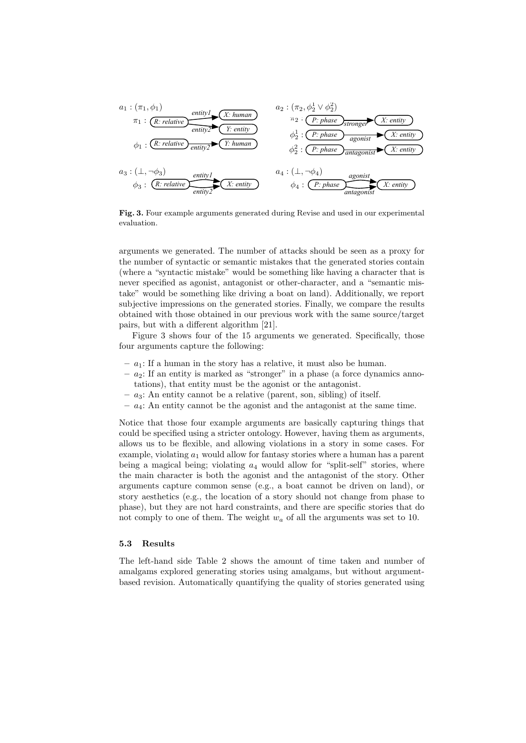

**Fig. 3.** Four example arguments generated during Revise and used in our experimental evaluation.

arguments we generated. The number of attacks should be seen as a proxy for the number of syntactic or semantic mistakes that the generated stories contain (where a "syntactic mistake" would be something like having a character that is never specified as agonist, antagonist or other-character, and a "semantic mistake" would be something like driving a boat on land). Additionally, we report subjective impressions on the generated stories. Finally, we compare the results obtained with those obtained in our previous work with the same source/target pairs, but with a different algorithm [21].

Figure 3 shows four of the 15 arguments we generated. Specifically, those four arguments capture the following:

- **–** *a*1: If a human in the story has a relative, it must also be human.
- **–** *a*2: If an entity is marked as "stronger" in a phase (a force dynamics annotations), that entity must be the agonist or the antagonist.
- **–** *a*3: An entity cannot be a relative (parent, son, sibling) of itself.
- **–** *a*4: An entity cannot be the agonist and the antagonist at the same time.

Notice that those four example arguments are basically capturing things that could be specified using a stricter ontology. However, having them as arguments, allows us to be flexible, and allowing violations in a story in some cases. For example, violating *a*<sup>1</sup> would allow for fantasy stories where a human has a parent being a magical being; violating  $a_4$  would allow for "split-self" stories, where the main character is both the agonist and the antagonist of the story. Other arguments capture common sense (e.g., a boat cannot be driven on land), or story aesthetics (e.g., the location of a story should not change from phase to phase), but they are not hard constraints, and there are specific stories that do not comply to one of them. The weight *w<sup>a</sup>* of all the arguments was set to 10.

#### **5.3 Results**

The left-hand side Table 2 shows the amount of time taken and number of amalgams explored generating stories using amalgams, but without argumentbased revision. Automatically quantifying the quality of stories generated using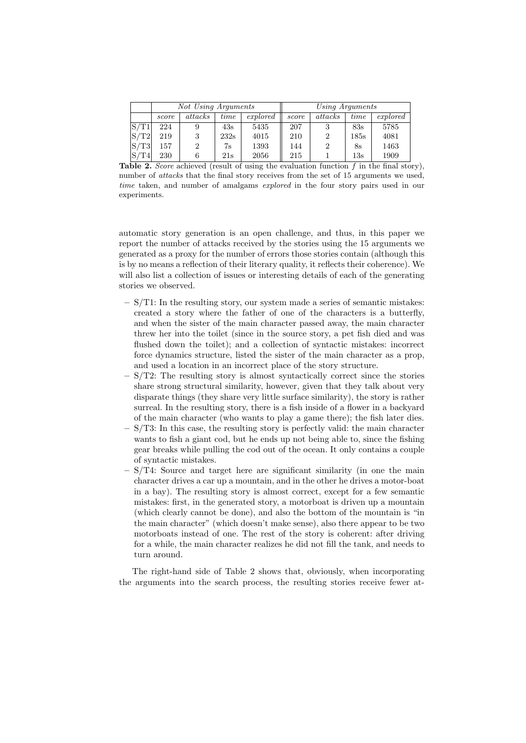|      |       | Not Using Arguments |      |          | Using Arguments |         |      |          |
|------|-------|---------------------|------|----------|-----------------|---------|------|----------|
|      | score | attacks             | time | explored | score           | attacks | time | explored |
| S/T1 | 224   |                     | 43s  | 5435     | 207             |         | 83s  | 5785     |
| S/T2 | 219   | 3                   | 232s | 4015     | 210             | 2       | 185s | 4081     |
| S/T3 | 157   | 2                   | 7s   | 1393     | 144             | 2       | 8s   | 1463     |
| S/T4 | 230   |                     | 21s  | 2056     | 215             |         | 13s  | 1909     |

**Table 2.** *Score* achieved (result of using the evaluation function *f* in the final story), number of *attacks* that the final story receives from the set of 15 arguments we used, *time* taken, and number of amalgams *explored* in the four story pairs used in our experiments.

automatic story generation is an open challenge, and thus, in this paper we report the number of attacks received by the stories using the 15 arguments we generated as a proxy for the number of errors those stories contain (although this is by no means a reflection of their literary quality, it reflects their coherence). We will also list a collection of issues or interesting details of each of the generating stories we observed.

- **–** S/T1: In the resulting story, our system made a series of semantic mistakes: created a story where the father of one of the characters is a butterfly, and when the sister of the main character passed away, the main character threw her into the toilet (since in the source story, a pet fish died and was flushed down the toilet); and a collection of syntactic mistakes: incorrect force dynamics structure, listed the sister of the main character as a prop, and used a location in an incorrect place of the story structure.
- **–** S/T2: The resulting story is almost syntactically correct since the stories share strong structural similarity, however, given that they talk about very disparate things (they share very little surface similarity), the story is rather surreal. In the resulting story, there is a fish inside of a flower in a backyard of the main character (who wants to play a game there); the fish later dies.
- **–** S/T3: In this case, the resulting story is perfectly valid: the main character wants to fish a giant cod, but he ends up not being able to, since the fishing gear breaks while pulling the cod out of the ocean. It only contains a couple of syntactic mistakes.
- **–** S/T4: Source and target here are significant similarity (in one the main character drives a car up a mountain, and in the other he drives a motor-boat in a bay). The resulting story is almost correct, except for a few semantic mistakes: first, in the generated story, a motorboat is driven up a mountain (which clearly cannot be done), and also the bottom of the mountain is "in the main character" (which doesn't make sense), also there appear to be two motorboats instead of one. The rest of the story is coherent: after driving for a while, the main character realizes he did not fill the tank, and needs to turn around.

The right-hand side of Table 2 shows that, obviously, when incorporating the arguments into the search process, the resulting stories receive fewer at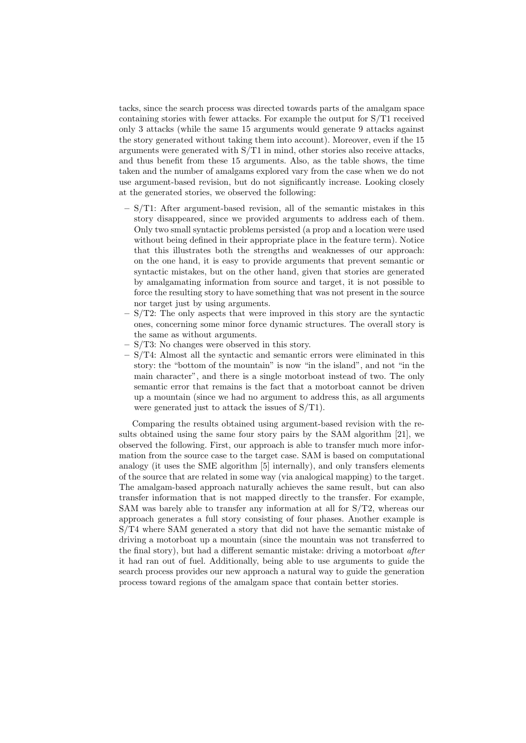tacks, since the search process was directed towards parts of the amalgam space containing stories with fewer attacks. For example the output for S/T1 received only 3 attacks (while the same 15 arguments would generate 9 attacks against the story generated without taking them into account). Moreover, even if the 15 arguments were generated with S/T1 in mind, other stories also receive attacks, and thus benefit from these 15 arguments. Also, as the table shows, the time taken and the number of amalgams explored vary from the case when we do not use argument-based revision, but do not significantly increase. Looking closely at the generated stories, we observed the following:

- **–** S/T1: After argument-based revision, all of the semantic mistakes in this story disappeared, since we provided arguments to address each of them. Only two small syntactic problems persisted (a prop and a location were used without being defined in their appropriate place in the feature term). Notice that this illustrates both the strengths and weaknesses of our approach: on the one hand, it is easy to provide arguments that prevent semantic or syntactic mistakes, but on the other hand, given that stories are generated by amalgamating information from source and target, it is not possible to force the resulting story to have something that was not present in the source nor target just by using arguments.
- **–** S/T2: The only aspects that were improved in this story are the syntactic ones, concerning some minor force dynamic structures. The overall story is the same as without arguments.
- **–** S/T3: No changes were observed in this story.
- **–** S/T4: Almost all the syntactic and semantic errors were eliminated in this story: the "bottom of the mountain" is now "in the island", and not "in the main character", and there is a single motorboat instead of two. The only semantic error that remains is the fact that a motorboat cannot be driven up a mountain (since we had no argument to address this, as all arguments were generated just to attack the issues of S/T1).

Comparing the results obtained using argument-based revision with the results obtained using the same four story pairs by the SAM algorithm [21], we observed the following. First, our approach is able to transfer much more information from the source case to the target case. SAM is based on computational analogy (it uses the SME algorithm [5] internally), and only transfers elements of the source that are related in some way (via analogical mapping) to the target. The amalgam-based approach naturally achieves the same result, but can also transfer information that is not mapped directly to the transfer. For example, SAM was barely able to transfer any information at all for S/T2, whereas our approach generates a full story consisting of four phases. Another example is S/T4 where SAM generated a story that did not have the semantic mistake of driving a motorboat up a mountain (since the mountain was not transferred to the final story), but had a different semantic mistake: driving a motorboat *after* it had ran out of fuel. Additionally, being able to use arguments to guide the search process provides our new approach a natural way to guide the generation process toward regions of the amalgam space that contain better stories.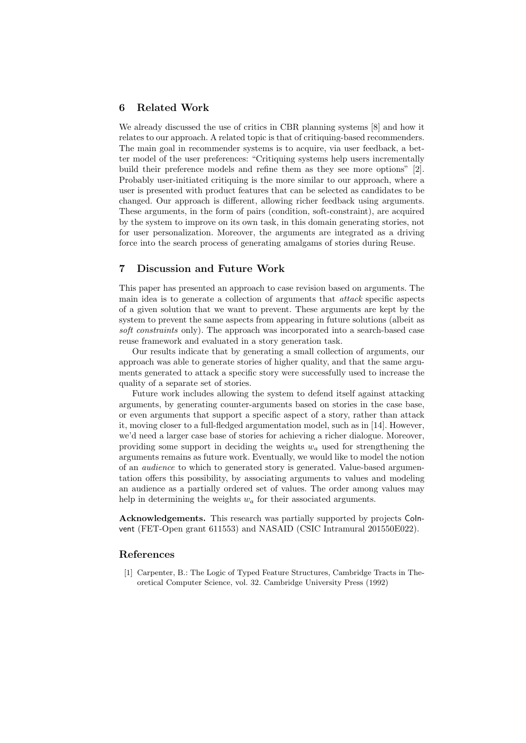# **6 Related Work**

We already discussed the use of critics in CBR planning systems [8] and how it relates to our approach. A related topic is that of critiquing-based recommenders. The main goal in recommender systems is to acquire, via user feedback, a better model of the user preferences: "Critiquing systems help users incrementally build their preference models and refine them as they see more options" [2]. Probably user-initiated critiquing is the more similar to our approach, where a user is presented with product features that can be selected as candidates to be changed. Our approach is different, allowing richer feedback using arguments. These arguments, in the form of pairs (condition, soft-constraint), are acquired by the system to improve on its own task, in this domain generating stories, not for user personalization. Moreover, the arguments are integrated as a driving force into the search process of generating amalgams of stories during Reuse.

## **7 Discussion and Future Work**

This paper has presented an approach to case revision based on arguments. The main idea is to generate a collection of arguments that *attack* specific aspects of a given solution that we want to prevent. These arguments are kept by the system to prevent the same aspects from appearing in future solutions (albeit as *soft constraints* only). The approach was incorporated into a search-based case reuse framework and evaluated in a story generation task.

Our results indicate that by generating a small collection of arguments, our approach was able to generate stories of higher quality, and that the same arguments generated to attack a specific story were successfully used to increase the quality of a separate set of stories.

Future work includes allowing the system to defend itself against attacking arguments, by generating counter-arguments based on stories in the case base, or even arguments that support a specific aspect of a story, rather than attack it, moving closer to a full-fledged argumentation model, such as in [14]. However, we'd need a larger case base of stories for achieving a richer dialogue. Moreover, providing some support in deciding the weights *w<sup>a</sup>* used for strengthening the arguments remains as future work. Eventually, we would like to model the notion of an *audience* to which to generated story is generated. Value-based argumentation offers this possibility, by associating arguments to values and modeling an audience as a partially ordered set of values. The order among values may help in determining the weights  $w_a$  for their associated arguments.

Acknowledgements. This research was partially supported by projects Colnvent (FET-Open grant 611553) and NASAID (CSIC Intramural 201550E022).

### **References**

[1] Carpenter, B.: The Logic of Typed Feature Structures, Cambridge Tracts in Theoretical Computer Science, vol. 32. Cambridge University Press (1992)